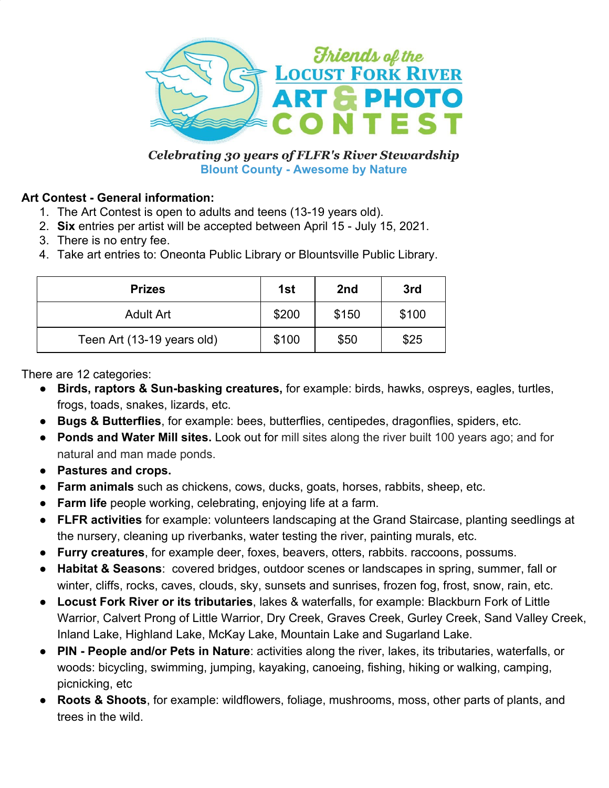

*Celebrating 30 years of FLFR's River Stewardship* **Blount County - Awesome by Nature**

#### **Art Contest - General information:**

- 1. The Art Contest is open to adults and teens (13-19 years old).
- 2. **Six** entries per artist will be accepted between April 15 July 15, 2021.
- 3. There is no entry fee.
- 4. Take art entries to: Oneonta Public Library or Blountsville Public Library.

| <b>Prizes</b>              | 1st   | 2 <sub>nd</sub> | 3rd   |
|----------------------------|-------|-----------------|-------|
| <b>Adult Art</b>           | \$200 | \$150           | \$100 |
| Teen Art (13-19 years old) | \$100 | \$50            | \$25  |

There are 12 categories:

- **Birds, raptors & Sun-basking creatures,** for example: birds, hawks, ospreys, eagles, turtles, frogs, toads, snakes, lizards, etc.
- **Bugs & Butterflies**, for example: bees, butterflies, centipedes, dragonflies, spiders, etc.
- **Ponds and Water Mill sites.** Look out for mill sites along the river built 100 years ago; and for natural and man made ponds.
- **● Pastures and crops.**
- **● Farm animals** such as chickens, cows, ducks, goats, horses, rabbits, sheep, etc.
- **Farm life** people working, celebrating, enjoying life at a farm.
- **● FLFR activities** for example: volunteers landscaping at the Grand Staircase, planting seedlings at the nursery, cleaning up riverbanks, water testing the river, painting murals, etc.
- **Furry creatures**, for example deer, foxes, beavers, otters, rabbits. raccoons, possums.
- **● Habitat & Seasons**: covered bridges, outdoor scenes or landscapes in spring, summer, fall or winter, cliffs, rocks, caves, clouds, sky, sunsets and sunrises, frozen fog, frost, snow, rain, etc.
- **Locust Fork River or its tributaries**, lakes & waterfalls, for example: Blackburn Fork of Little Warrior, Calvert Prong of Little Warrior, Dry Creek, Graves Creek, Gurley Creek, Sand Valley Creek, Inland Lake, Highland Lake, McKay Lake, Mountain Lake and Sugarland Lake.
- **PIN People and/or Pets in Nature**: activities along the river, lakes, its tributaries, waterfalls, or woods: bicycling, swimming, jumping, kayaking, canoeing, fishing, hiking or walking, camping, picnicking, etc
- **Roots & Shoots**, for example: wildflowers, foliage, mushrooms, moss, other parts of plants, and trees in the wild.